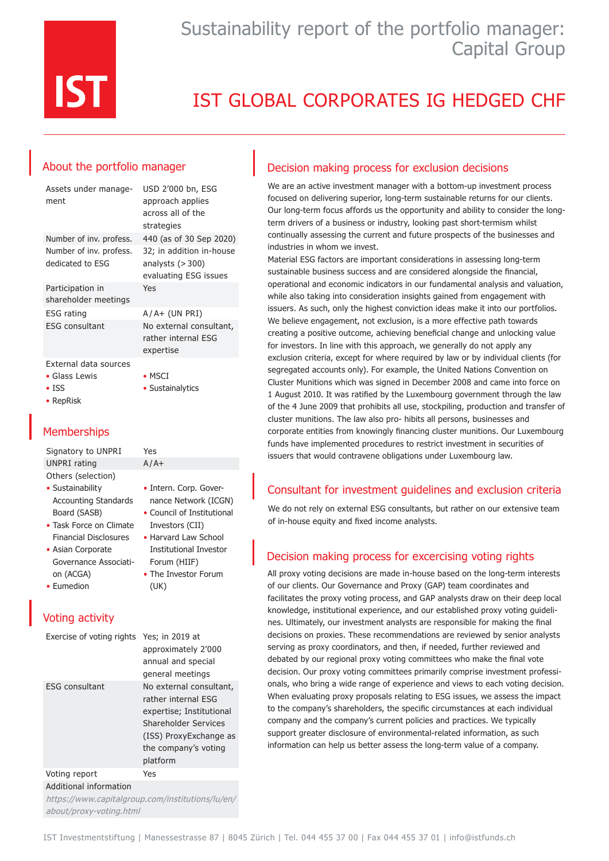

# IST GLOBAL CORPORATES IG HEDGED CHF

### About the portfolio manager

| Assets under manage-<br>ment                            | USD 2'000 bn, ESG<br>approach applies<br>across all of the<br>strategies |
|---------------------------------------------------------|--------------------------------------------------------------------------|
| Number of inv. profess.                                 | 440 (as of 30 Sep 2020)                                                  |
| Number of inv. profess.<br>dedicated to ESG             | 32; in addition in-house<br>analysts $(>300)$<br>evaluating ESG issues   |
| Participation in<br>shareholder meetings                | Yes                                                                      |
| ESG rating                                              | $A/A+$ (UN PRI)                                                          |
| ESG consultant                                          | No external consultant,<br>rather internal FSG<br>expertise              |
| External data sources<br>• Glass Lewis<br>$\bullet$ ISS | $\bullet$ MSCI<br>• Sustainalytics                                       |

• Intern. Corp. Governance Network (ICGN) • Council of Institutional Investors (CII) • Harvard Law School Institutional Investor Forum (HIIF) • The Investor Forum

#### • RepRisk

### **Memberships**

Signatory to UNPRI Yes UNPRI rating  $A/A+$ Others (selection)

- Sustainability Accounting Standards Board (SASB)
- Task Force on Climate Financial Disclosures
- Asian Corporate Governance Association (ACGA)
- Eumedion

### Voting activity

| Exercise of voting rights Yes; in 2019 at | approximately 2'000<br>annual and special<br>general meetings |
|-------------------------------------------|---------------------------------------------------------------|
|                                           |                                                               |
| <b>ESG</b> consultant                     | No external consultant,<br>rather internal FSG                |
|                                           | expertise; Institutional                                      |
|                                           | Shareholder Services                                          |
|                                           | (ISS) ProxyExchange as                                        |
|                                           | the company's voting                                          |
|                                           | platform                                                      |
| Voting report                             | Yes                                                           |

(UK)

Additional information

https://www.capitalgroup.com/institutions/lu/en/ about/proxy-voting.html

### Decision making process for exclusion decisions

We are an active investment manager with a bottom-up investment process focused on delivering superior, long-term sustainable returns for our clients. Our long-term focus affords us the opportunity and ability to consider the longterm drivers of a business or industry, looking past short-termism whilst continually assessing the current and future prospects of the businesses and industries in whom we invest.

Material ESG factors are important considerations in assessing long-term sustainable business success and are considered alongside the financial, operational and economic indicators in our fundamental analysis and valuation, while also taking into consideration insights gained from engagement with issuers. As such, only the highest conviction ideas make it into our portfolios. We believe engagement, not exclusion, is a more effective path towards creating a positive outcome, achieving beneficial change and unlocking value for investors. In line with this approach, we generally do not apply any exclusion criteria, except for where required by law or by individual clients (for segregated accounts only). For example, the United Nations Convention on Cluster Munitions which was signed in December 2008 and came into force on 1 August 2010. It was ratified by the Luxembourg government through the law of the 4 June 2009 that prohibits all use, stockpiling, production and transfer of cluster munitions. The law also pro- hibits all persons, businesses and corporate entities from knowingly financing cluster munitions. Our Luxembourg funds have implemented procedures to restrict investment in securities of issuers that would contravene obligations under Luxembourg law.

### Consultant for investment guidelines and exclusion criteria

We do not rely on external ESG consultants, but rather on our extensive team of in-house equity and fixed income analysts.

### Decision making process for excercising voting rights

All proxy voting decisions are made in-house based on the long-term interests of our clients. Our Governance and Proxy (GAP) team coordinates and facilitates the proxy voting process, and GAP analysts draw on their deep local knowledge, institutional experience, and our established proxy voting guidelines. Ultimately, our investment analysts are responsible for making the final decisions on proxies. These recommendations are reviewed by senior analysts serving as proxy coordinators, and then, if needed, further reviewed and debated by our regional proxy voting committees who make the final vote decision. Our proxy voting committees primarily comprise investment professionals, who bring a wide range of experience and views to each voting decision. When evaluating proxy proposals relating to ESG issues, we assess the impact to the company's shareholders, the specific circumstances at each individual company and the company's current policies and practices. We typically support greater disclosure of environmental-related information, as such information can help us better assess the long-term value of a company.